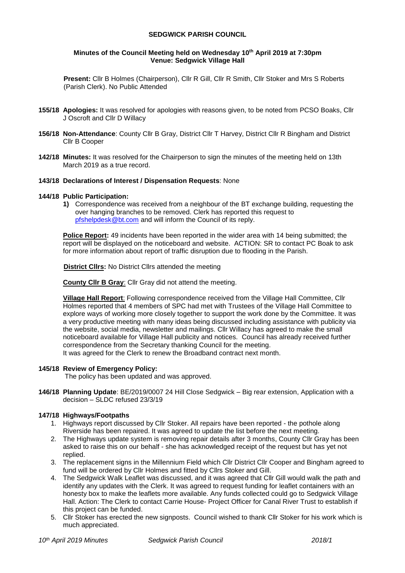## **SEDGWICK PARISH COUNCIL**

#### **Minutes of the Council Meeting held on Wednesday 10 th April 2019 at 7:30pm Venue: Sedgwick Village Hall**

**Present:** Cllr B Holmes (Chairperson), Cllr R Gill, Cllr R Smith, Cllr Stoker and Mrs S Roberts (Parish Clerk). No Public Attended

- **155/18 Apologies:** It was resolved for apologies with reasons given, to be noted from PCSO Boaks, Cllr J Oscroft and Cllr D Willacy
- **156/18 Non-Attendance**: County Cllr B Gray, District Cllr T Harvey, District Cllr R Bingham and District Cllr B Cooper
- **142/18 Minutes:** It was resolved for the Chairperson to sign the minutes of the meeting held on 13th March 2019 as a true record.

# **143/18 Declarations of Interest / Dispensation Requests**: None

#### **144/18 Public Participation:**

**1)** Correspondence was received from a neighbour of the BT exchange building, requesting the over hanging branches to be removed. Clerk has reported this request to [pfshelpdesk@bt.com](mailto:pfshelpdesk@bt.com) and will inform the Council of its reply.

**Police Report:** 49 incidents have been reported in the wider area with 14 being submitted; the report will be displayed on the noticeboard and website. ACTION: SR to contact PC Boak to ask for more information about report of traffic disruption due to flooding in the Parish.

**District Cllrs:** No District Cllrs attended the meeting

**County Cllr B Gray**: Cllr Gray did not attend the meeting.

**Village Hall Report**: Following correspondence received from the Village Hall Committee, Cllr Holmes reported that 4 members of SPC had met with Trustees of the Village Hall Committee to explore ways of working more closely together to support the work done by the Committee. It was a very productive meeting with many ideas being discussed including assistance with publicity via the website, social media, newsletter and mailings. Cllr Willacy has agreed to make the small noticeboard available for Village Hall publicity and notices. Council has already received further correspondence from the Secretary thanking Council for the meeting. It was agreed for the Clerk to renew the Broadband contract next month.

#### **145/18 Review of Emergency Policy:**

The policy has been updated and was approved.

**146/18 Planning Update**: BE/2019/0007 24 Hill Close Sedgwick – Big rear extension, Application with a decision – SLDC refused 23/3/19

## **147/18 Highways/Footpaths**

- 1. Highways report discussed by Cllr Stoker. All repairs have been reported the pothole along Riverside has been repaired. It was agreed to update the list before the next meeting.
- 2. The Highways update system is removing repair details after 3 months, County Cllr Gray has been asked to raise this on our behalf - she has acknowledged receipt of the request but has yet not replied.
- 3. The replacement signs in the Millennium Field which Cllr District Cllr Cooper and Bingham agreed to fund will be ordered by Cllr Holmes and fitted by Cllrs Stoker and Gill.
- 4. The Sedgwick Walk Leaflet was discussed, and it was agreed that Cllr Gill would walk the path and identify any updates with the Clerk. It was agreed to request funding for leaflet containers with an honesty box to make the leaflets more available. Any funds collected could go to Sedgwick Village Hall. Action: The Clerk to contact Carrie House- Project Officer for Canal River Trust to establish if this project can be funded.
- 5. Cllr Stoker has erected the new signposts. Council wished to thank Cllr Stoker for his work which is much appreciated.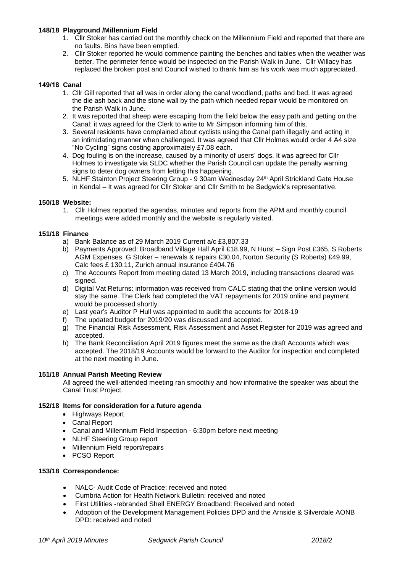## **148/18 Playground /Millennium Field**

- 1. Cllr Stoker has carried out the monthly check on the Millennium Field and reported that there are no faults. Bins have been emptied.
- 2. Cllr Stoker reported he would commence painting the benches and tables when the weather was better. The perimeter fence would be inspected on the Parish Walk in June. Cllr Willacy has replaced the broken post and Council wished to thank him as his work was much appreciated.

## **149/18 Canal**

- 1. Cllr Gill reported that all was in order along the canal woodland, paths and bed. It was agreed the die ash back and the stone wall by the path which needed repair would be monitored on the Parish Walk in June.
- 2. It was reported that sheep were escaping from the field below the easy path and getting on the Canal; it was agreed for the Clerk to write to Mr Simpson informing him of this.
- 3. Several residents have complained about cyclists using the Canal path illegally and acting in an intimidating manner when challenged. It was agreed that Cllr Holmes would order 4 A4 size "No Cycling" signs costing approximately £7.08 each.
- 4. Dog fouling is on the increase, caused by a minority of users' dogs. It was agreed for Cllr Holmes to investigate via SLDC whether the Parish Council can update the penalty warning signs to deter dog owners from letting this happening.
- 5. NLHF Stainton Project Steering Group 9 30am Wednesday 24<sup>th</sup> April Strickland Gate House in Kendal – It was agreed for Cllr Stoker and Cllr Smith to be Sedgwick's representative.

## **150/18 Website:**

1. Cllr Holmes reported the agendas, minutes and reports from the APM and monthly council meetings were added monthly and the website is regularly visited.

## **151/18 Finance**

- a) Bank Balance as of 29 March 2019 Current a/c £3,807.33
- b) Payments Approved: Broadband Village Hall April £18.99, N Hurst Sign Post £365, S Roberts AGM Expenses, G Stoker – renewals & repairs £30.04, Norton Security (S Roberts) £49.99, Calc fees £ 130.11, Zurich annual insurance £404.76
- c) The Accounts Report from meeting dated 13 March 2019, including transactions cleared was signed.
- d) Digital Vat Returns: information was received from CALC stating that the online version would stay the same. The Clerk had completed the VAT repayments for 2019 online and payment would be processed shortly.
- e) Last year's Auditor P Hull was appointed to audit the accounts for 2018-19
- f) The updated budget for 2019/20 was discussed and accepted.
- g) The Financial Risk Assessment, Risk Assessment and Asset Register for 2019 was agreed and accepted.
- h) The Bank Reconciliation April 2019 figures meet the same as the draft Accounts which was accepted. The 2018/19 Accounts would be forward to the Auditor for inspection and completed at the next meeting in June.

#### **151/18 Annual Parish Meeting Review**

All agreed the well-attended meeting ran smoothly and how informative the speaker was about the Canal Trust Project.

## **152/18 Items for consideration for a future agenda**

- Highways Report
- Canal Report
- Canal and Millennium Field Inspection 6:30pm before next meeting
- NLHF Steering Group report
- Millennium Field report/repairs
- PCSO Report

# **153/18 Correspondence:**

- NALC- Audit Code of Practice: received and noted
- Cumbria Action for Health Network Bulletin: received and noted
- First Utilities -rebranded Shell ENERGY Broadband: Received and noted
- Adoption of the Development Management Policies DPD and the Arnside & Silverdale AONB DPD: received and noted